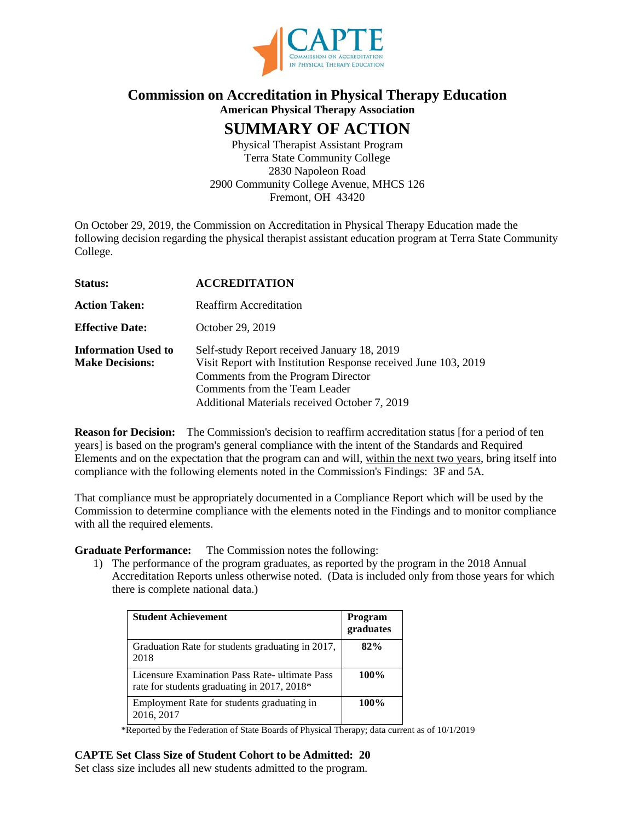

# **Commission on Accreditation in Physical Therapy Education American Physical Therapy Association**

# **SUMMARY OF ACTION**

Physical Therapist Assistant Program Terra State Community College 2830 Napoleon Road 2900 Community College Avenue, MHCS 126 Fremont, OH 43420

On October 29, 2019, the Commission on Accreditation in Physical Therapy Education made the following decision regarding the physical therapist assistant education program at Terra State Community College.

| Status:                                              | <b>ACCREDITATION</b>                                                                                                                                                                                                                  |
|------------------------------------------------------|---------------------------------------------------------------------------------------------------------------------------------------------------------------------------------------------------------------------------------------|
| <b>Action Taken:</b>                                 | <b>Reaffirm Accreditation</b>                                                                                                                                                                                                         |
| <b>Effective Date:</b>                               | October 29, 2019                                                                                                                                                                                                                      |
| <b>Information Used to</b><br><b>Make Decisions:</b> | Self-study Report received January 18, 2019<br>Visit Report with Institution Response received June 103, 2019<br>Comments from the Program Director<br>Comments from the Team Leader<br>Additional Materials received October 7, 2019 |

**Reason for Decision:** The Commission's decision to reaffirm accreditation status [for a period of ten years] is based on the program's general compliance with the intent of the Standards and Required Elements and on the expectation that the program can and will, within the next two years, bring itself into compliance with the following elements noted in the Commission's Findings: 3F and 5A.

That compliance must be appropriately documented in a Compliance Report which will be used by the Commission to determine compliance with the elements noted in the Findings and to monitor compliance with all the required elements.

**Graduate Performance:** The Commission notes the following:

1) The performance of the program graduates, as reported by the program in the 2018 Annual Accreditation Reports unless otherwise noted. (Data is included only from those years for which there is complete national data.)

| <b>Student Achievement</b>                                                                    | Program<br>graduates |
|-----------------------------------------------------------------------------------------------|----------------------|
| Graduation Rate for students graduating in 2017,<br>2018                                      | 82%                  |
| Licensure Examination Pass Rate- ultimate Pass<br>rate for students graduating in 2017, 2018* | 100%                 |
| Employment Rate for students graduating in<br>2016, 2017                                      | 100%                 |

\*Reported by the Federation of State Boards of Physical Therapy; data current as of 10/1/2019

# **CAPTE Set Class Size of Student Cohort to be Admitted: 20**

Set class size includes all new students admitted to the program.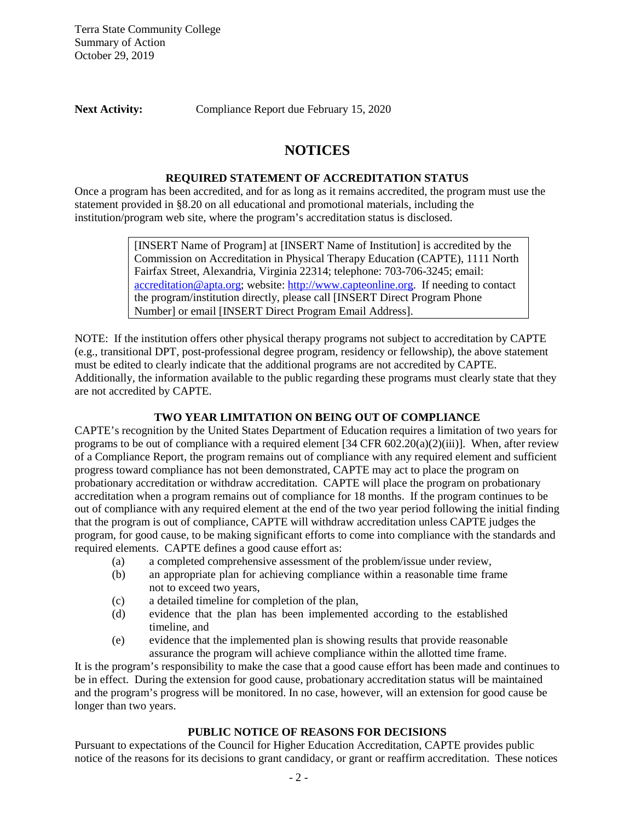**Next Activity:** Compliance Report due February 15, 2020

# **NOTICES**

## **REQUIRED STATEMENT OF ACCREDITATION STATUS**

Once a program has been accredited, and for as long as it remains accredited, the program must use the statement provided in §8.20 on all educational and promotional materials, including the institution/program web site, where the program's accreditation status is disclosed.

> [INSERT Name of Program] at [INSERT Name of Institution] is accredited by the Commission on Accreditation in Physical Therapy Education (CAPTE), 1111 North Fairfax Street, Alexandria, Virginia 22314; telephone: 703-706-3245; email: [accreditation@apta.org;](mailto:accreditation@apta.org) website: [http://www.capteonline.org.](http://www.capteonline.org/) If needing to contact the program/institution directly, please call [INSERT Direct Program Phone Number] or email [INSERT Direct Program Email Address].

NOTE: If the institution offers other physical therapy programs not subject to accreditation by CAPTE (e.g., transitional DPT, post-professional degree program, residency or fellowship), the above statement must be edited to clearly indicate that the additional programs are not accredited by CAPTE. Additionally, the information available to the public regarding these programs must clearly state that they are not accredited by CAPTE.

# **TWO YEAR LIMITATION ON BEING OUT OF COMPLIANCE**

CAPTE's recognition by the United States Department of Education requires a limitation of two years for programs to be out of compliance with a required element [34 CFR  $602.20(a)(2)(iii)$ ]. When, after review of a Compliance Report, the program remains out of compliance with any required element and sufficient progress toward compliance has not been demonstrated, CAPTE may act to place the program on probationary accreditation or withdraw accreditation. CAPTE will place the program on probationary accreditation when a program remains out of compliance for 18 months. If the program continues to be out of compliance with any required element at the end of the two year period following the initial finding that the program is out of compliance, CAPTE will withdraw accreditation unless CAPTE judges the program, for good cause, to be making significant efforts to come into compliance with the standards and required elements. CAPTE defines a good cause effort as:

- (a) a completed comprehensive assessment of the problem/issue under review,
- (b) an appropriate plan for achieving compliance within a reasonable time frame not to exceed two years,
- (c) a detailed timeline for completion of the plan,
- (d) evidence that the plan has been implemented according to the established timeline, and
- (e) evidence that the implemented plan is showing results that provide reasonable assurance the program will achieve compliance within the allotted time frame.

It is the program's responsibility to make the case that a good cause effort has been made and continues to be in effect. During the extension for good cause, probationary accreditation status will be maintained and the program's progress will be monitored. In no case, however, will an extension for good cause be longer than two years.

## **PUBLIC NOTICE OF REASONS FOR DECISIONS**

Pursuant to expectations of the Council for Higher Education Accreditation, CAPTE provides public notice of the reasons for its decisions to grant candidacy, or grant or reaffirm accreditation. These notices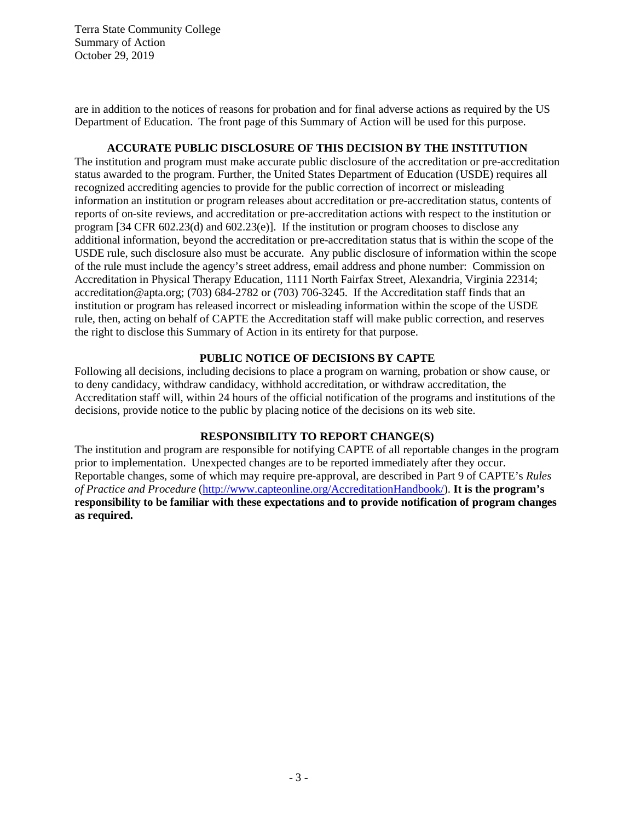are in addition to the notices of reasons for probation and for final adverse actions as required by the US Department of Education. The front page of this Summary of Action will be used for this purpose.

# **ACCURATE PUBLIC DISCLOSURE OF THIS DECISION BY THE INSTITUTION**

The institution and program must make accurate public disclosure of the accreditation or pre-accreditation status awarded to the program. Further, the United States Department of Education (USDE) requires all recognized accrediting agencies to provide for the public correction of incorrect or misleading information an institution or program releases about accreditation or pre-accreditation status, contents of reports of on-site reviews, and accreditation or pre-accreditation actions with respect to the institution or program  $[34 \text{ CFR } 602.23(d)$  and  $[602.23(e)]$ . If the institution or program chooses to disclose any additional information, beyond the accreditation or pre-accreditation status that is within the scope of the USDE rule, such disclosure also must be accurate. Any public disclosure of information within the scope of the rule must include the agency's street address, email address and phone number: Commission on Accreditation in Physical Therapy Education, 1111 North Fairfax Street, Alexandria, Virginia 22314; accreditation@apta.org; (703) 684-2782 or (703) 706-3245. If the Accreditation staff finds that an institution or program has released incorrect or misleading information within the scope of the USDE rule, then, acting on behalf of CAPTE the Accreditation staff will make public correction, and reserves the right to disclose this Summary of Action in its entirety for that purpose.

#### **PUBLIC NOTICE OF DECISIONS BY CAPTE**

Following all decisions, including decisions to place a program on warning, probation or show cause, or to deny candidacy, withdraw candidacy, withhold accreditation, or withdraw accreditation, the Accreditation staff will, within 24 hours of the official notification of the programs and institutions of the decisions, provide notice to the public by placing notice of the decisions on its web site.

#### **RESPONSIBILITY TO REPORT CHANGE(S)**

The institution and program are responsible for notifying CAPTE of all reportable changes in the program prior to implementation. Unexpected changes are to be reported immediately after they occur. Reportable changes, some of which may require pre-approval, are described in Part 9 of CAPTE's *Rules of Practice and Procedure* [\(http://www.capteonline.org/AccreditationHandbook/\)](http://www.capteonline.org/AccreditationHandbook/). **It is the program's responsibility to be familiar with these expectations and to provide notification of program changes as required.**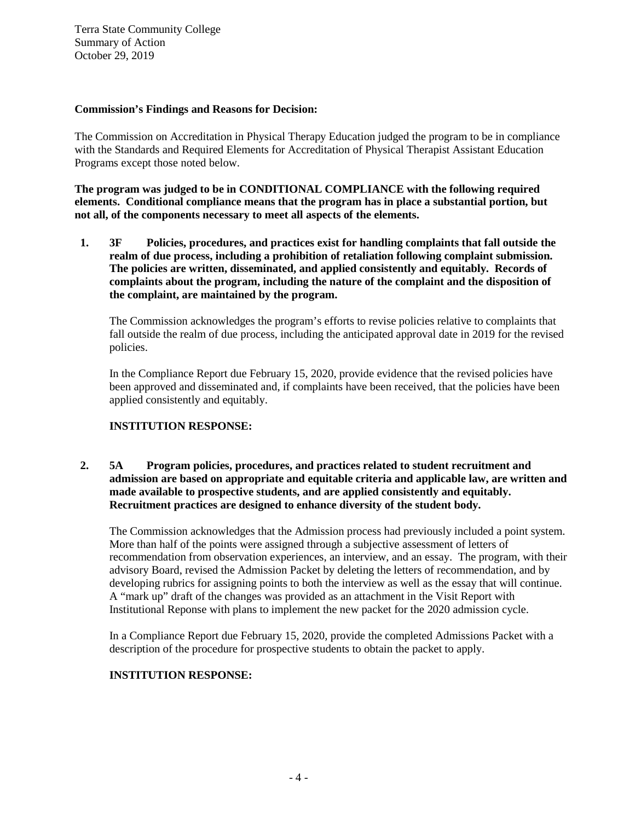#### **Commission's Findings and Reasons for Decision:**

The Commission on Accreditation in Physical Therapy Education judged the program to be in compliance with the Standards and Required Elements for Accreditation of Physical Therapist Assistant Education Programs except those noted below.

**The program was judged to be in CONDITIONAL COMPLIANCE with the following required elements. Conditional compliance means that the program has in place a substantial portion, but not all, of the components necessary to meet all aspects of the elements.**

**1. 3F Policies, procedures, and practices exist for handling complaints that fall outside the realm of due process, including a prohibition of retaliation following complaint submission. The policies are written, disseminated, and applied consistently and equitably. Records of complaints about the program, including the nature of the complaint and the disposition of the complaint, are maintained by the program.**

The Commission acknowledges the program's efforts to revise policies relative to complaints that fall outside the realm of due process, including the anticipated approval date in 2019 for the revised policies.

In the Compliance Report due February 15, 2020, provide evidence that the revised policies have been approved and disseminated and, if complaints have been received, that the policies have been applied consistently and equitably.

## **INSTITUTION RESPONSE:**

## **2. 5A Program policies, procedures, and practices related to student recruitment and admission are based on appropriate and equitable criteria and applicable law, are written and made available to prospective students, and are applied consistently and equitably. Recruitment practices are designed to enhance diversity of the student body.**

The Commission acknowledges that the Admission process had previously included a point system. More than half of the points were assigned through a subjective assessment of letters of recommendation from observation experiences, an interview, and an essay. The program, with their advisory Board, revised the Admission Packet by deleting the letters of recommendation, and by developing rubrics for assigning points to both the interview as well as the essay that will continue. A "mark up" draft of the changes was provided as an attachment in the Visit Report with Institutional Reponse with plans to implement the new packet for the 2020 admission cycle.

In a Compliance Report due February 15, 2020, provide the completed Admissions Packet with a description of the procedure for prospective students to obtain the packet to apply.

## **INSTITUTION RESPONSE:**